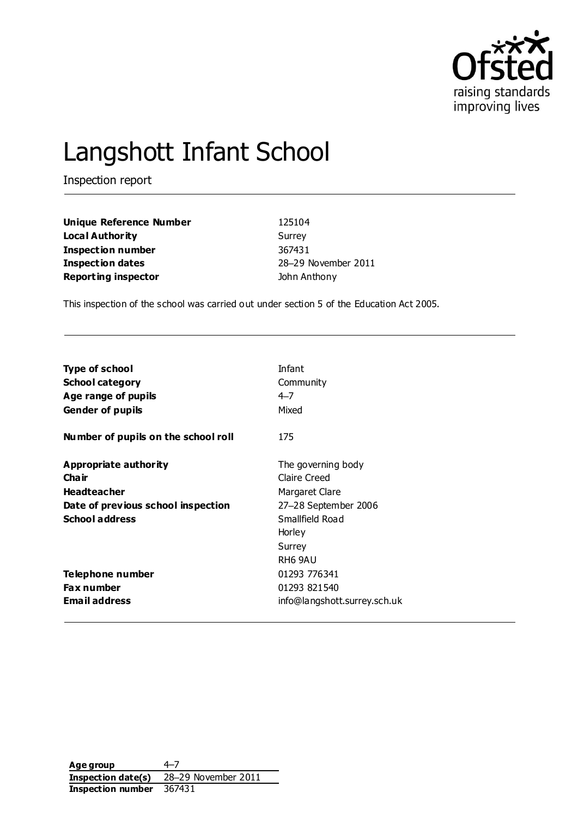

# Langshott Infant School

Inspection report

| Unique Reference Number    | 125104              |
|----------------------------|---------------------|
| Local Authority            | Surrey              |
| <b>Inspection number</b>   | 367431              |
| Inspection dates           | 28-29 November 2011 |
| <b>Reporting inspector</b> | John Anthony        |

This inspection of the school was carried out under section 5 of the Education Act 2005.

| <b>Type of school</b>               | Infant                       |
|-------------------------------------|------------------------------|
| <b>School category</b>              | Community                    |
| Age range of pupils                 | $4 - 7$                      |
| <b>Gender of pupils</b>             | Mixed                        |
| Number of pupils on the school roll | 175                          |
| Appropriate authority               | The governing body           |
| Cha ir                              | Claire Creed                 |
| <b>Headteacher</b>                  | Margaret Clare               |
| Date of previous school inspection  | 27-28 September 2006         |
| <b>School address</b>               | Smallfield Road              |
|                                     | Horley                       |
|                                     | Surrey                       |
|                                     | RH <sub>6</sub> 9AU          |
| Telephone number                    | 01293 776341                 |
| <b>Fax number</b>                   | 01293 821540                 |
| <b>Email address</b>                | info@langshott.surrey.sch.uk |

**Age group** 4–7 **Inspection date(s)** 28–29 November 2011 **Inspection number** 367431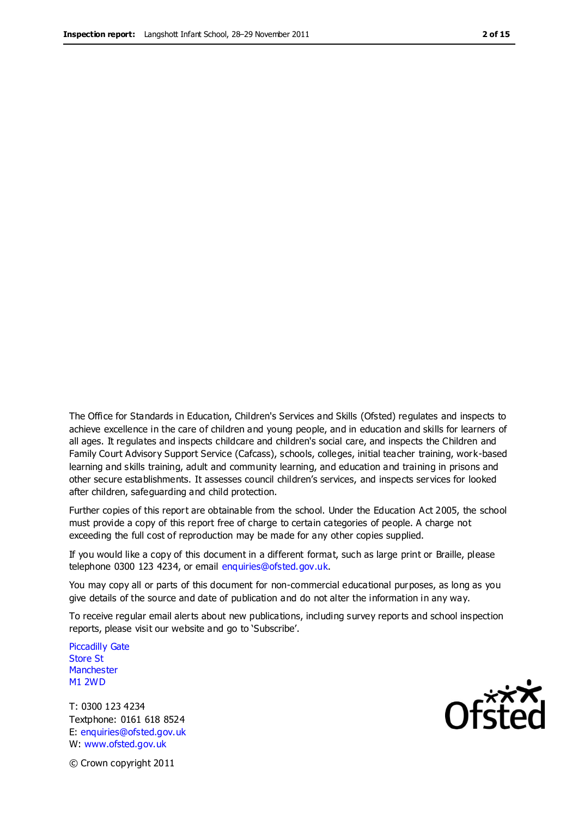The Office for Standards in Education, Children's Services and Skills (Ofsted) regulates and inspects to achieve excellence in the care of children and young people, and in education and skills for learners of all ages. It regulates and inspects childcare and children's social care, and inspects the Children and Family Court Advisory Support Service (Cafcass), schools, colleges, initial teacher training, work-based learning and skills training, adult and community learning, and education and training in prisons and other secure establishments. It assesses council children's services, and inspects services for looked after children, safeguarding and child protection.

Further copies of this report are obtainable from the school. Under the Education Act 2005, the school must provide a copy of this report free of charge to certain categories of people. A charge not exceeding the full cost of reproduction may be made for any other copies supplied.

If you would like a copy of this document in a different format, such as large print or Braille, please telephone 0300 123 4234, or email enquiries@ofsted.gov.uk.

You may copy all or parts of this document for non-commercial educational purposes, as long as you give details of the source and date of publication and do not alter the information in any way.

To receive regular email alerts about new publications, including survey reports and school inspection reports, please visit our website and go to 'Subscribe'.

Piccadilly Gate Store St **Manchester** M1 2WD

T: 0300 123 4234 Textphone: 0161 618 8524 E: enquiries@ofsted.gov.uk W: www.ofsted.gov.uk

**Ofsted** 

© Crown copyright 2011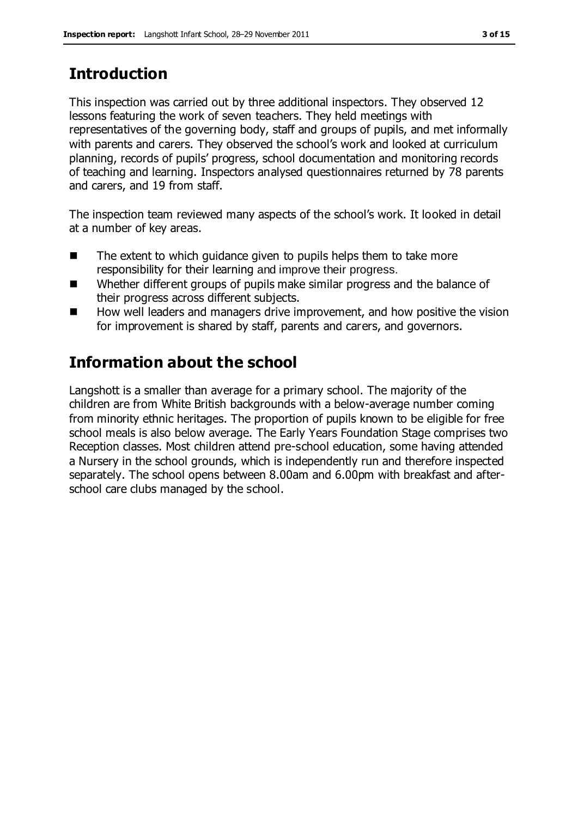# **Introduction**

This inspection was carried out by three additional inspectors. They observed 12 lessons featuring the work of seven teachers. They held meetings with representatives of the governing body, staff and groups of pupils, and met informally with parents and carers. They observed the school's work and looked at curriculum planning, records of pupils' progress, school documentation and monitoring records of teaching and learning. Inspectors analysed questionnaires returned by 78 parents and carers, and 19 from staff.

The inspection team reviewed many aspects of the school's work. It looked in detail at a number of key areas.

- The extent to which quidance given to pupils helps them to take more responsibility for their learning and improve their progress.
- Whether different groups of pupils make similar progress and the balance of their progress across different subjects.
- How well leaders and managers drive improvement, and how positive the vision for improvement is shared by staff, parents and carers, and governors.

# **Information about the school**

Langshott is a smaller than average for a primary school. The majority of the children are from White British backgrounds with a below-average number coming from minority ethnic heritages. The proportion of pupils known to be eligible for free school meals is also below average. The Early Years Foundation Stage comprises two Reception classes. Most children attend pre-school education, some having attended a Nursery in the school grounds, which is independently run and therefore inspected separately. The school opens between 8.00am and 6.00pm with breakfast and afterschool care clubs managed by the school.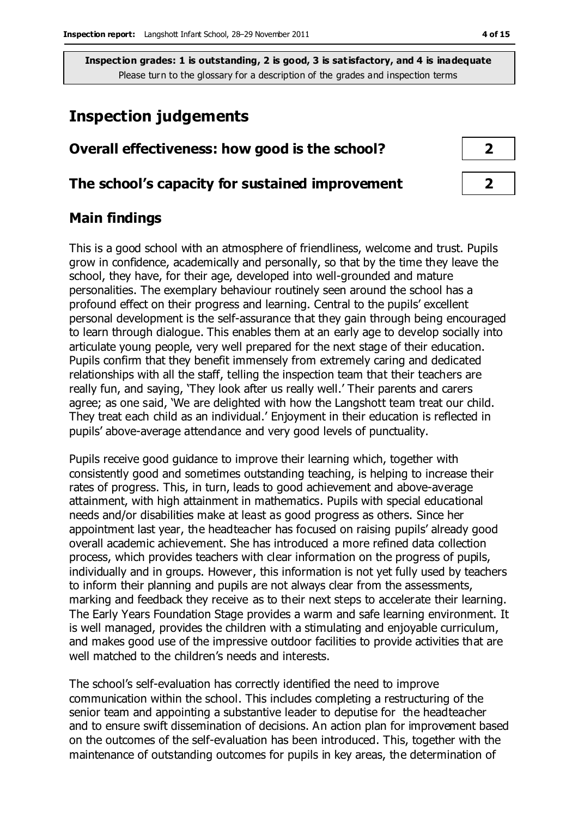# **Inspection judgements**

| Overall effectiveness: how good is the school?  |  |
|-------------------------------------------------|--|
| The school's capacity for sustained improvement |  |

## **Main findings**

This is a good school with an atmosphere of friendliness, welcome and trust. Pupils grow in confidence, academically and personally, so that by the time they leave the school, they have, for their age, developed into well-grounded and mature personalities. The exemplary behaviour routinely seen around the school has a profound effect on their progress and learning. Central to the pupils' excellent personal development is the self-assurance that they gain through being encouraged to learn through dialogue. This enables them at an early age to develop socially into articulate young people, very well prepared for the next stage of their education. Pupils confirm that they benefit immensely from extremely caring and dedicated relationships with all the staff, telling the inspection team that their teachers are really fun, and saying, 'They look after us really well.' Their parents and carers agree; as one said, 'We are delighted with how the Langshott team treat our child. They treat each child as an individual.' Enjoyment in their education is reflected in pupils' above-average attendance and very good levels of punctuality.

Pupils receive good guidance to improve their learning which, together with consistently good and sometimes outstanding teaching, is helping to increase their rates of progress. This, in turn, leads to good achievement and above-average attainment, with high attainment in mathematics. Pupils with special educational needs and/or disabilities make at least as good progress as others. Since her appointment last year, the headteacher has focused on raising pupils' already good overall academic achievement. She has introduced a more refined data collection process, which provides teachers with clear information on the progress of pupils, individually and in groups. However, this information is not yet fully used by teachers to inform their planning and pupils are not always clear from the assessments, marking and feedback they receive as to their next steps to accelerate their learning. The Early Years Foundation Stage provides a warm and safe learning environment. It is well managed, provides the children with a stimulating and enjoyable curriculum, and makes good use of the impressive outdoor facilities to provide activities that are well matched to the children's needs and interests.

The school's self-evaluation has correctly identified the need to improve communication within the school. This includes completing a restructuring of the senior team and appointing a substantive leader to deputise for the headteacher and to ensure swift dissemination of decisions. An action plan for improvement based on the outcomes of the self-evaluation has been introduced. This, together with the maintenance of outstanding outcomes for pupils in key areas, the determination of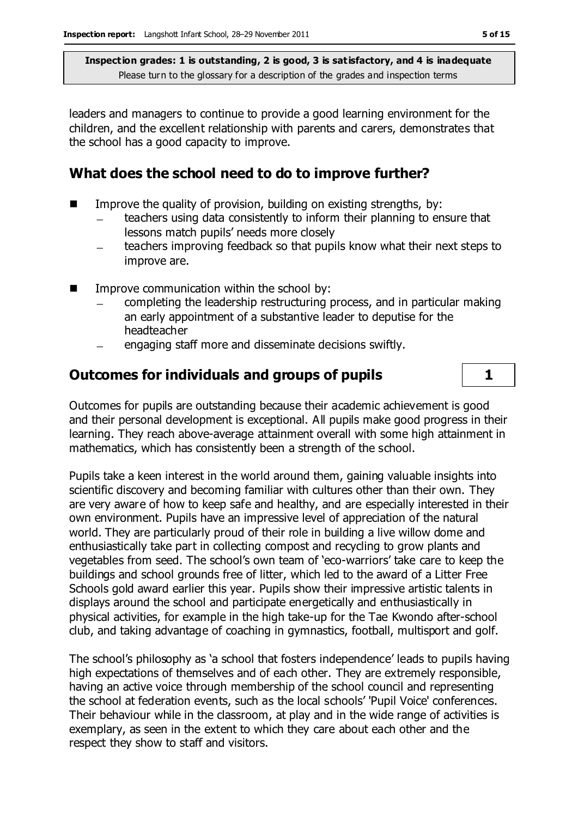leaders and managers to continue to provide a good learning environment for the children, and the excellent relationship with parents and carers, demonstrates that the school has a good capacity to improve.

## **What does the school need to do to improve further?**

- $\blacksquare$  Improve the quality of provision, building on existing strengths, by:
	- teachers using data consistently to inform their planning to ensure that lessons match pupils' needs more closely
	- teachers improving feedback so that pupils know what their next steps to  $\qquad \qquad$ improve are.
- Improve communication within the school by:
	- completing the leadership restructuring process, and in particular making an early appointment of a substantive leader to deputise for the headteacher
	- engaging staff more and disseminate decisions swiftly.

# **Outcomes for individuals and groups of pupils 1**

Outcomes for pupils are outstanding because their academic achievement is good and their personal development is exceptional. All pupils make good progress in their learning. They reach above-average attainment overall with some high attainment in mathematics, which has consistently been a strength of the school.

Pupils take a keen interest in the world around them, gaining valuable insights into scientific discovery and becoming familiar with cultures other than their own. They are very aware of how to keep safe and healthy, and are especially interested in their own environment. Pupils have an impressive level of appreciation of the natural world. They are particularly proud of their role in building a live willow dome and enthusiastically take part in collecting compost and recycling to grow plants and vegetables from seed. The school's own team of 'eco-warriors' take care to keep the buildings and school grounds free of litter, which led to the award of a Litter Free Schools gold award earlier this year. Pupils show their impressive artistic talents in displays around the school and participate energetically and enthusiastically in physical activities, for example in the high take-up for the Tae Kwondo after-school club, and taking advantage of coaching in gymnastics, football, multisport and golf.

The school's philosophy as 'a school that fosters independence' leads to pupils having high expectations of themselves and of each other. They are extremely responsible, having an active voice through membership of the school council and representing the school at federation events, such as the local schools' 'Pupil Voice' conferences. Their behaviour while in the classroom, at play and in the wide range of activities is exemplary, as seen in the extent to which they care about each other and the respect they show to staff and visitors.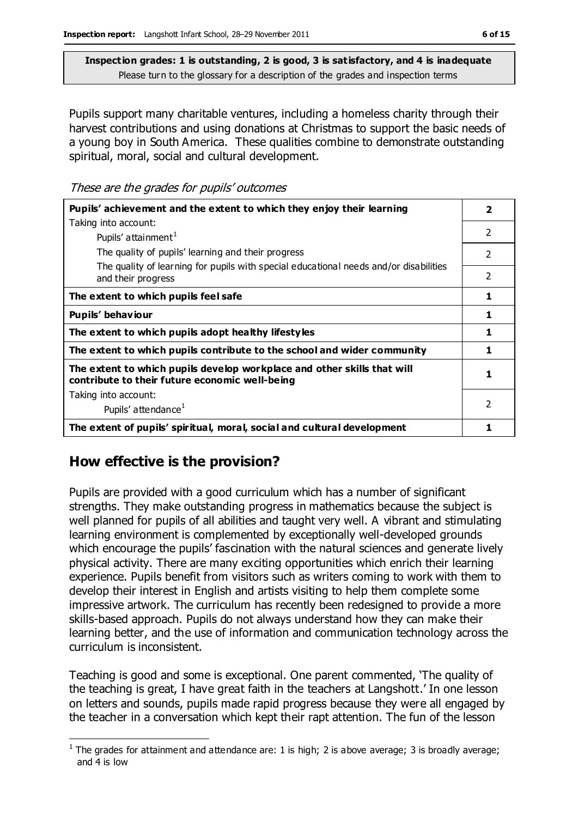Pupils support many charitable ventures, including a homeless charity through their harvest contributions and using donations at Christmas to support the basic needs of a young boy in South America. These qualities combine to demonstrate outstanding spiritual, moral, social and cultural development.

These are the grades for pupils' outcomes

| Pupils' achievement and the extent to which they enjoy their learning                                                     |                          |
|---------------------------------------------------------------------------------------------------------------------------|--------------------------|
| Taking into account:                                                                                                      |                          |
| Pupils' attainment <sup>1</sup>                                                                                           | $\mathcal{P}$            |
| The quality of pupils' learning and their progress                                                                        | $\mathcal{P}$            |
| The quality of learning for pupils with special educational needs and/or disabilities<br>and their progress               | 2                        |
| The extent to which pupils feel safe                                                                                      | 1                        |
| Pupils' behaviour                                                                                                         | 1                        |
| The extent to which pupils adopt healthy lifestyles                                                                       | 1                        |
| The extent to which pupils contribute to the school and wider community                                                   | 1                        |
| The extent to which pupils develop workplace and other skills that will<br>contribute to their future economic well-being | 1                        |
| Taking into account:                                                                                                      |                          |
| Pupils' attendance <sup>1</sup>                                                                                           | $\overline{\phantom{a}}$ |
| The extent of pupils' spiritual, moral, social and cultural development                                                   |                          |

### **How effective is the provision?**

Pupils are provided with a good curriculum which has a number of significant strengths. They make outstanding progress in mathematics because the subject is well planned for pupils of all abilities and taught very well. A vibrant and stimulating learning environment is complemented by exceptionally well-developed grounds which encourage the pupils' fascination with the natural sciences and generate lively physical activity. There are many exciting opportunities which enrich their learning experience. Pupils benefit from visitors such as writers coming to work with them to develop their interest in English and artists visiting to help them complete some impressive artwork. The curriculum has recently been redesigned to provide a more skills-based approach. Pupils do not always understand how they can make their learning better, and the use of information and communication technology across the curriculum is inconsistent.

Teaching is good and some is exceptional. One parent commented, 'The quality of the teaching is great, I have great faith in the teachers at Langshott.' In one lesson on letters and sounds, pupils made rapid progress because they were all engaged by the teacher in a conversation which kept their rapt attention. The fun of the lesson

 $\overline{a}$ <sup>1</sup> The grades for attainment and attendance are: 1 is high; 2 is above average; 3 is broadly average; and 4 is low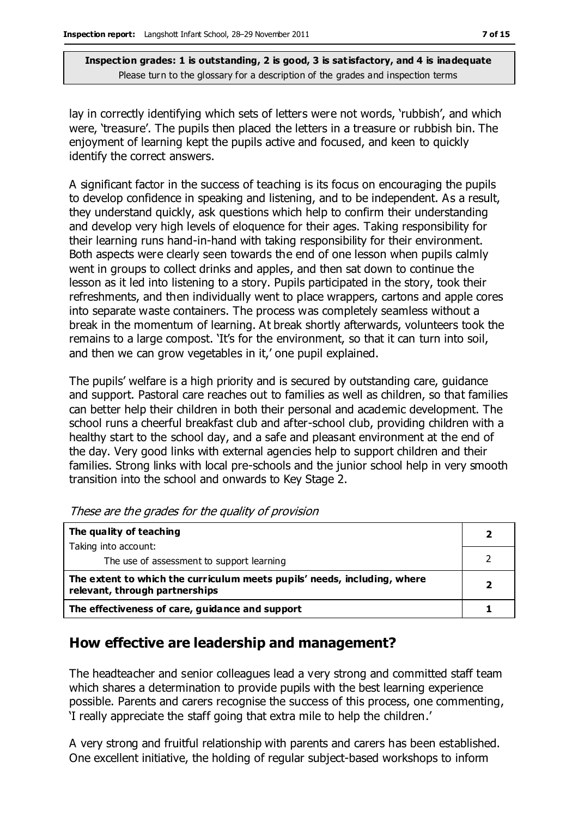lay in correctly identifying which sets of letters were not words, 'rubbish', and which were, 'treasure'. The pupils then placed the letters in a treasure or rubbish bin. The enjoyment of learning kept the pupils active and focused, and keen to quickly identify the correct answers.

A significant factor in the success of teaching is its focus on encouraging the pupils to develop confidence in speaking and listening, and to be independent. As a result, they understand quickly, ask questions which help to confirm their understanding and develop very high levels of eloquence for their ages. Taking responsibility for their learning runs hand-in-hand with taking responsibility for their environment. Both aspects were clearly seen towards the end of one lesson when pupils calmly went in groups to collect drinks and apples, and then sat down to continue the lesson as it led into listening to a story. Pupils participated in the story, took their refreshments, and then individually went to place wrappers, cartons and apple cores into separate waste containers. The process was completely seamless without a break in the momentum of learning. At break shortly afterwards, volunteers took the remains to a large compost. 'It's for the environment, so that it can turn into soil, and then we can grow vegetables in it,' one pupil explained.

The pupils' welfare is a high priority and is secured by outstanding care, guidance and support. Pastoral care reaches out to families as well as children, so that families can better help their children in both their personal and academic development. The school runs a cheerful breakfast club and after-school club, providing children with a healthy start to the school day, and a safe and pleasant environment at the end of the day. Very good links with external agencies help to support children and their families. Strong links with local pre-schools and the junior school help in very smooth transition into the school and onwards to Key Stage 2.

| The quality of teaching                                                                                    |  |
|------------------------------------------------------------------------------------------------------------|--|
| Taking into account:                                                                                       |  |
| The use of assessment to support learning                                                                  |  |
| The extent to which the curriculum meets pupils' needs, including, where<br>relevant, through partnerships |  |
| The effectiveness of care, guidance and support                                                            |  |

These are the grades for the quality of provision

# **How effective are leadership and management?**

The headteacher and senior colleagues lead a very strong and committed staff team which shares a determination to provide pupils with the best learning experience possible. Parents and carers recognise the success of this process, one commenting, 'I really appreciate the staff going that extra mile to help the children.'

A very strong and fruitful relationship with parents and carers has been established. One excellent initiative, the holding of regular subject-based workshops to inform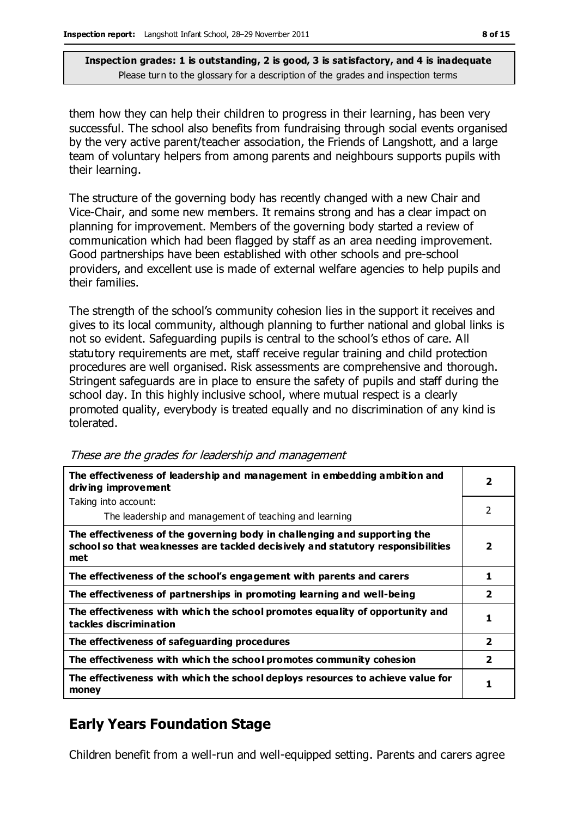them how they can help their children to progress in their learning, has been very successful. The school also benefits from fundraising through social events organised by the very active parent/teacher association, the Friends of Langshott, and a large team of voluntary helpers from among parents and neighbours supports pupils with their learning.

The structure of the governing body has recently changed with a new Chair and Vice-Chair, and some new members. It remains strong and has a clear impact on planning for improvement. Members of the governing body started a review of communication which had been flagged by staff as an area needing improvement. Good partnerships have been established with other schools and pre-school providers, and excellent use is made of external welfare agencies to help pupils and their families.

The strength of the school's community cohesion lies in the support it receives and gives to its local community, although planning to further national and global links is not so evident. Safeguarding pupils is central to the school's ethos of care. All statutory requirements are met, staff receive regular training and child protection procedures are well organised. Risk assessments are comprehensive and thorough. Stringent safeguards are in place to ensure the safety of pupils and staff during the school day. In this highly inclusive school, where mutual respect is a clearly promoted quality, everybody is treated equally and no discrimination of any kind is tolerated.

| The effectiveness of leadership and management in embedding ambition and<br>driving improvement                                                                     | $\overline{2}$ |
|---------------------------------------------------------------------------------------------------------------------------------------------------------------------|----------------|
| Taking into account:                                                                                                                                                |                |
| The leadership and management of teaching and learning                                                                                                              | 2              |
| The effectiveness of the governing body in challenging and supporting the<br>school so that weaknesses are tackled decisively and statutory responsibilities<br>met | 2              |
| The effectiveness of the school's engagement with parents and carers                                                                                                |                |
| The effectiveness of partnerships in promoting learning and well-being                                                                                              | 2              |
| The effectiveness with which the school promotes equality of opportunity and<br>tackles discrimination                                                              | 1              |
| The effectiveness of safeguarding procedures                                                                                                                        | $\overline{2}$ |
| The effectiveness with which the school promotes community cohesion                                                                                                 | $\overline{2}$ |
| The effectiveness with which the school deploys resources to achieve value for<br>money                                                                             | 1              |

These are the grades for leadership and management

# **Early Years Foundation Stage**

Children benefit from a well-run and well-equipped setting. Parents and carers agree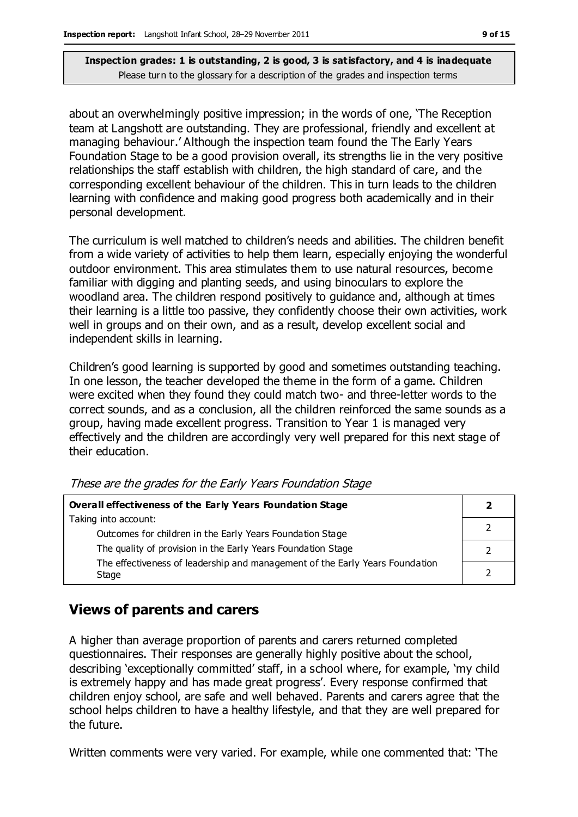about an overwhelmingly positive impression; in the words of one, 'The Reception team at Langshott are outstanding. They are professional, friendly and excellent at managing behaviour.' Although the inspection team found the The Early Years Foundation Stage to be a good provision overall, its strengths lie in the very positive relationships the staff establish with children, the high standard of care, and the corresponding excellent behaviour of the children. This in turn leads to the children learning with confidence and making good progress both academically and in their personal development.

The curriculum is well matched to children's needs and abilities. The children benefit from a wide variety of activities to help them learn, especially enjoying the wonderful outdoor environment. This area stimulates them to use natural resources, become familiar with digging and planting seeds, and using binoculars to explore the woodland area. The children respond positively to guidance and, although at times their learning is a little too passive, they confidently choose their own activities, work well in groups and on their own, and as a result, develop excellent social and independent skills in learning.

Children's good learning is supported by good and sometimes outstanding teaching. In one lesson, the teacher developed the theme in the form of a game. Children were excited when they found they could match two- and three-letter words to the correct sounds, and as a conclusion, all the children reinforced the same sounds as a group, having made excellent progress. Transition to Year 1 is managed very effectively and the children are accordingly very well prepared for this next stage of their education.

| Overall effectiveness of the Early Years Foundation Stage                    |  |
|------------------------------------------------------------------------------|--|
| Taking into account:                                                         |  |
| Outcomes for children in the Early Years Foundation Stage                    |  |
| The quality of provision in the Early Years Foundation Stage                 |  |
| The effectiveness of leadership and management of the Early Years Foundation |  |
| Stage                                                                        |  |

These are the grades for the Early Years Foundation Stage

### **Views of parents and carers**

A higher than average proportion of parents and carers returned completed questionnaires. Their responses are generally highly positive about the school, describing 'exceptionally committed' staff, in a school where, for example, 'my child is extremely happy and has made great progress'. Every response confirmed that children enjoy school, are safe and well behaved. Parents and carers agree that the school helps children to have a healthy lifestyle, and that they are well prepared for the future.

Written comments were very varied. For example, while one commented that: 'The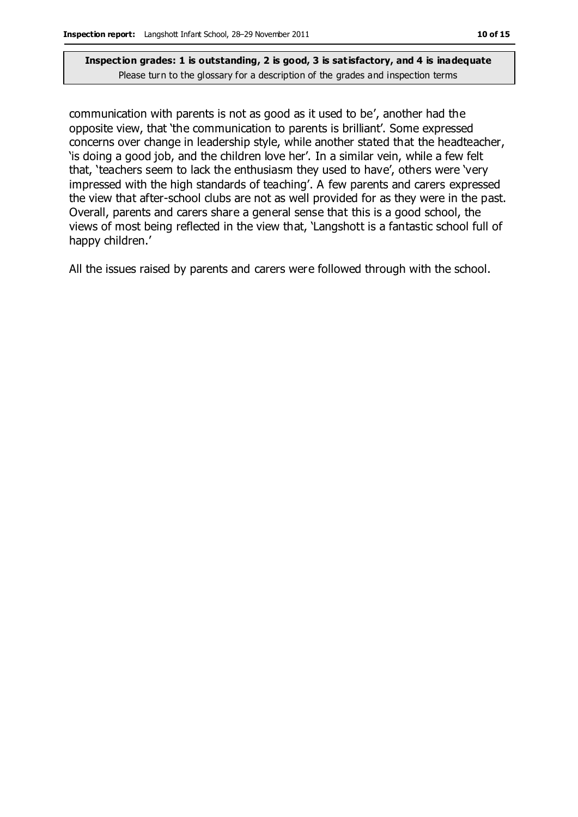communication with parents is not as good as it used to be', another had the opposite view, that 'the communication to parents is brilliant'. Some expressed concerns over change in leadership style, while another stated that the headteacher, 'is doing a good job, and the children love her'. In a similar vein, while a few felt that, 'teachers seem to lack the enthusiasm they used to have', others were 'very impressed with the high standards of teaching'. A few parents and carers expressed the view that after-school clubs are not as well provided for as they were in the past. Overall, parents and carers share a general sense that this is a good school, the views of most being reflected in the view that, 'Langshott is a fantastic school full of happy children.'

All the issues raised by parents and carers were followed through with the school.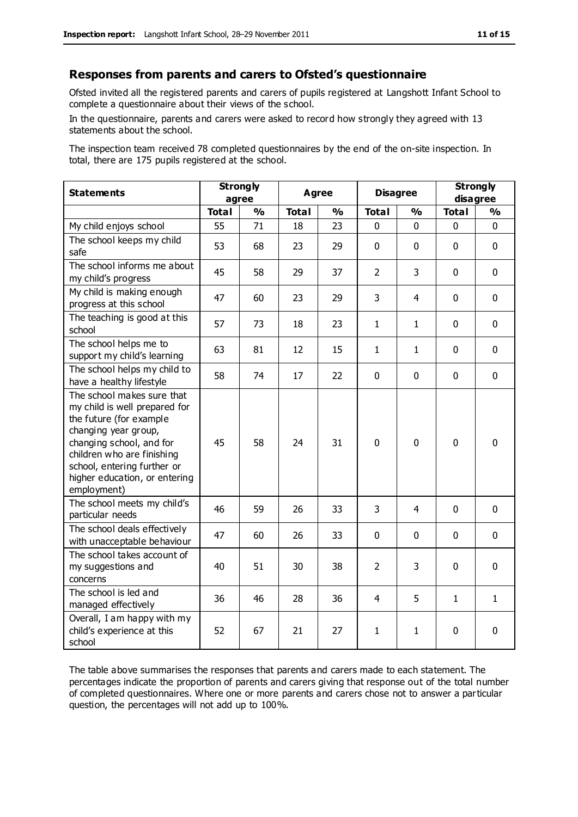#### **Responses from parents and carers to Ofsted's questionnaire**

Ofsted invited all the registered parents and carers of pupils registered at Langshott Infant School to complete a questionnaire about their views of the school.

In the questionnaire, parents and carers were asked to record how strongly they agreed with 13 statements about the school.

The inspection team received 78 completed questionnaires by the end of the on-site inspection. In total, there are 175 pupils registered at the school.

| <b>Statements</b>                                                                                                                                                                                                                                       | <b>Strongly</b><br>agree |               | <b>Agree</b> |               | <b>Disagree</b> |               | <b>Strongly</b><br>disagree |               |
|---------------------------------------------------------------------------------------------------------------------------------------------------------------------------------------------------------------------------------------------------------|--------------------------|---------------|--------------|---------------|-----------------|---------------|-----------------------------|---------------|
|                                                                                                                                                                                                                                                         | <b>Total</b>             | $\frac{1}{2}$ | <b>Total</b> | $\frac{1}{2}$ | <b>Total</b>    | $\frac{1}{2}$ | <b>Total</b>                | $\frac{1}{2}$ |
| My child enjoys school                                                                                                                                                                                                                                  | 55                       | 71            | 18           | 23            | 0               | $\mathbf 0$   | $\mathbf 0$                 | $\mathbf 0$   |
| The school keeps my child<br>safe                                                                                                                                                                                                                       | 53                       | 68            | 23           | 29            | $\mathbf 0$     | $\mathbf 0$   | $\mathbf 0$                 | $\mathbf 0$   |
| The school informs me about<br>my child's progress                                                                                                                                                                                                      | 45                       | 58            | 29           | 37            | $\overline{2}$  | 3             | $\mathbf 0$                 | $\mathbf 0$   |
| My child is making enough<br>progress at this school                                                                                                                                                                                                    | 47                       | 60            | 23           | 29            | 3               | 4             | $\mathbf 0$                 | $\mathbf 0$   |
| The teaching is good at this<br>school                                                                                                                                                                                                                  | 57                       | 73            | 18           | 23            | $\mathbf{1}$    | $\mathbf{1}$  | $\mathbf 0$                 | $\mathbf 0$   |
| The school helps me to<br>support my child's learning                                                                                                                                                                                                   | 63                       | 81            | 12           | 15            | $\mathbf{1}$    | 1             | $\Omega$                    | $\mathbf 0$   |
| The school helps my child to<br>have a healthy lifestyle                                                                                                                                                                                                | 58                       | 74            | 17           | 22            | $\pmb{0}$       | $\mathbf 0$   | $\mathbf 0$                 | $\mathbf 0$   |
| The school makes sure that<br>my child is well prepared for<br>the future (for example<br>changing year group,<br>changing school, and for<br>children who are finishing<br>school, entering further or<br>higher education, or entering<br>employment) | 45                       | 58            | 24           | 31            | $\mathbf 0$     | $\mathbf 0$   | $\mathbf{0}$                | 0             |
| The school meets my child's<br>particular needs                                                                                                                                                                                                         | 46                       | 59            | 26           | 33            | 3               | 4             | $\mathbf 0$                 | $\mathbf 0$   |
| The school deals effectively<br>with unacceptable behaviour                                                                                                                                                                                             | 47                       | 60            | 26           | 33            | 0               | $\mathbf{0}$  | $\mathbf 0$                 | $\mathbf 0$   |
| The school takes account of<br>my suggestions and<br>concerns                                                                                                                                                                                           | 40                       | 51            | 30           | 38            | $\overline{2}$  | 3             | $\mathbf 0$                 | $\mathbf 0$   |
| The school is led and<br>managed effectively                                                                                                                                                                                                            | 36                       | 46            | 28           | 36            | $\overline{4}$  | 5             | $\mathbf{1}$                | $\mathbf{1}$  |
| Overall, I am happy with my<br>child's experience at this<br>school                                                                                                                                                                                     | 52                       | 67            | 21           | 27            | 1               | 1             | $\mathbf 0$                 | $\mathbf 0$   |

The table above summarises the responses that parents and carers made to each statement. The percentages indicate the proportion of parents and carers giving that response out of the total number of completed questionnaires. Where one or more parents and carers chose not to answer a particular question, the percentages will not add up to 100%.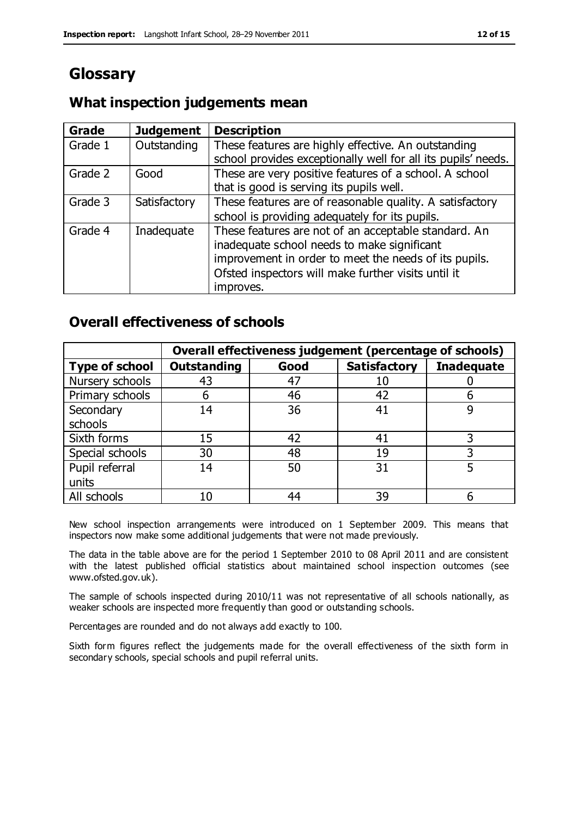# **Glossary**

### **What inspection judgements mean**

| <b>Grade</b> | <b>Judgement</b> | <b>Description</b>                                            |
|--------------|------------------|---------------------------------------------------------------|
| Grade 1      | Outstanding      | These features are highly effective. An outstanding           |
|              |                  | school provides exceptionally well for all its pupils' needs. |
| Grade 2      | Good             | These are very positive features of a school. A school        |
|              |                  | that is good is serving its pupils well.                      |
| Grade 3      | Satisfactory     | These features are of reasonable quality. A satisfactory      |
|              |                  | school is providing adequately for its pupils.                |
| Grade 4      | Inadequate       | These features are not of an acceptable standard. An          |
|              |                  | inadequate school needs to make significant                   |
|              |                  | improvement in order to meet the needs of its pupils.         |
|              |                  | Ofsted inspectors will make further visits until it           |
|              |                  | improves.                                                     |

### **Overall effectiveness of schools**

|                       | Overall effectiveness judgement (percentage of schools) |      |                     |                   |
|-----------------------|---------------------------------------------------------|------|---------------------|-------------------|
| <b>Type of school</b> | <b>Outstanding</b>                                      | Good | <b>Satisfactory</b> | <b>Inadequate</b> |
| Nursery schools       | 43                                                      | 47   |                     |                   |
| Primary schools       | h                                                       | 46   | 42                  |                   |
| Secondary             | 14                                                      | 36   | 41                  |                   |
| schools               |                                                         |      |                     |                   |
| Sixth forms           | 15                                                      | 42   | 41                  | 3                 |
| Special schools       | 30                                                      | 48   | 19                  |                   |
| Pupil referral        | 14                                                      | 50   | 31                  |                   |
| units                 |                                                         |      |                     |                   |
| All schools           | 10                                                      | 44   | 39                  |                   |

New school inspection arrangements were introduced on 1 September 2009. This means that inspectors now make some additional judgements that were not made previously.

The data in the table above are for the period 1 September 2010 to 08 April 2011 and are consistent with the latest published official statistics about maintained school inspection outcomes (see www.ofsted.gov.uk).

The sample of schools inspected during 2010/11 was not representative of all schools nationally, as weaker schools are inspected more frequently than good or outstanding schools.

Percentages are rounded and do not always add exactly to 100.

Sixth form figures reflect the judgements made for the overall effectiveness of the sixth form in secondary schools, special schools and pupil referral units.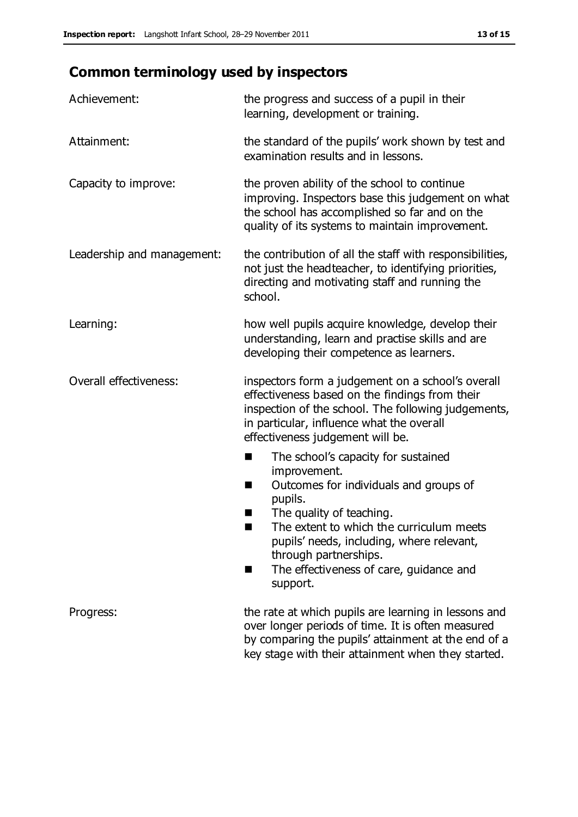# **Common terminology used by inspectors**

| Achievement:               | the progress and success of a pupil in their<br>learning, development or training.                                                                                                                                                                                                                                                  |  |  |
|----------------------------|-------------------------------------------------------------------------------------------------------------------------------------------------------------------------------------------------------------------------------------------------------------------------------------------------------------------------------------|--|--|
| Attainment:                | the standard of the pupils' work shown by test and<br>examination results and in lessons.                                                                                                                                                                                                                                           |  |  |
| Capacity to improve:       | the proven ability of the school to continue<br>improving. Inspectors base this judgement on what<br>the school has accomplished so far and on the<br>quality of its systems to maintain improvement.                                                                                                                               |  |  |
| Leadership and management: | the contribution of all the staff with responsibilities,<br>not just the headteacher, to identifying priorities,<br>directing and motivating staff and running the<br>school.                                                                                                                                                       |  |  |
| Learning:                  | how well pupils acquire knowledge, develop their<br>understanding, learn and practise skills and are<br>developing their competence as learners.                                                                                                                                                                                    |  |  |
| Overall effectiveness:     | inspectors form a judgement on a school's overall<br>effectiveness based on the findings from their<br>inspection of the school. The following judgements,<br>in particular, influence what the overall<br>effectiveness judgement will be.                                                                                         |  |  |
|                            | The school's capacity for sustained<br>a s<br>improvement.<br>Outcomes for individuals and groups of<br>ш<br>pupils.<br>The quality of teaching.<br>ш<br>The extent to which the curriculum meets<br>pupils' needs, including, where relevant,<br>through partnerships.<br>The effectiveness of care, guidance and<br>П<br>support. |  |  |
| Progress:                  | the rate at which pupils are learning in lessons and<br>over longer periods of time. It is often measured<br>by comparing the pupils' attainment at the end of a<br>key stage with their attainment when they started.                                                                                                              |  |  |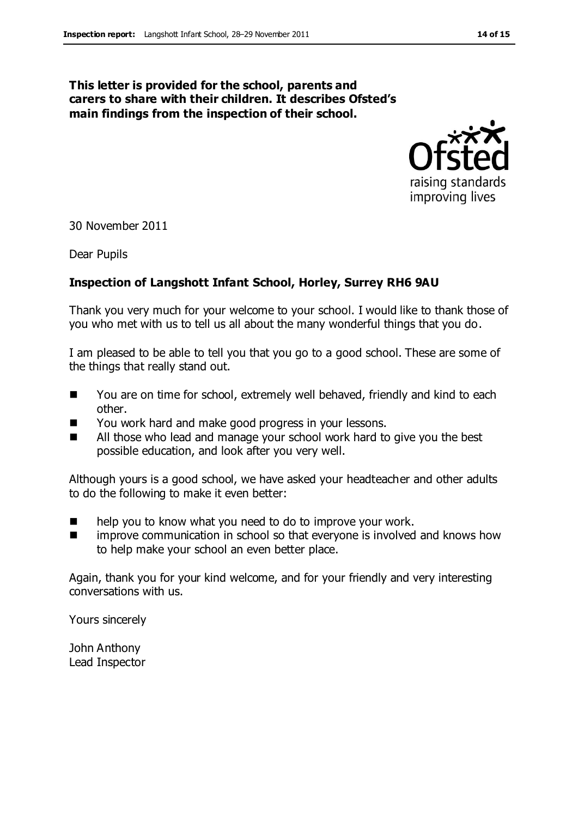#### **This letter is provided for the school, parents and carers to share with their children. It describes Ofsted's main findings from the inspection of their school.**



30 November 2011

Dear Pupils

#### **Inspection of Langshott Infant School, Horley, Surrey RH6 9AU**

Thank you very much for your welcome to your school. I would like to thank those of you who met with us to tell us all about the many wonderful things that you do.

I am pleased to be able to tell you that you go to a good school. These are some of the things that really stand out.

- You are on time for school, extremely well behaved, friendly and kind to each other.
- You work hard and make good progress in your lessons.
- All those who lead and manage your school work hard to give you the best possible education, and look after you very well.

Although yours is a good school, we have asked your headteacher and other adults to do the following to make it even better:

- **number 1** help you to know what you need to do to improve your work.
- improve communication in school so that everyone is involved and knows how to help make your school an even better place.

Again, thank you for your kind welcome, and for your friendly and very interesting conversations with us.

Yours sincerely

John Anthony Lead Inspector